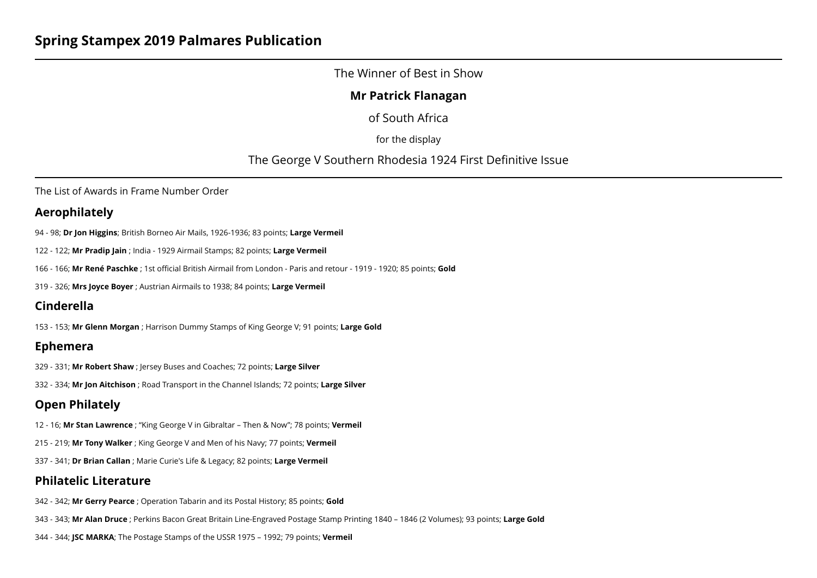## The Winner of Best in Show

## **Mr Patrick Flanagan**

of South Africa

for the display

The George V Southern Rhodesia 1924 First Definitive Issue

The List of Awards in Frame Number Order

## **Aerophilately**

94 - 98; **Dr Jon Higgins**; British Borneo Air Mails, 1926-1936; 83 points; **Large Vermeil**

- 122 122; **Mr Pradip Jain** ; India 1929 Airmail Stamps; 82 points; **Large Vermeil**
- 166 166; **Mr René Paschke** ; 1st official British Airmail from London Paris and retour 1919 1920; 85 points; **Gold**
- 319 326; **Mrs Joyce Boyer** ; Austrian Airmails to 1938; 84 points; **Large Vermeil**

# **Cinderella**

153 - 153; **Mr Glenn Morgan** ; Harrison Dummy Stamps of King George V; 91 points; **Large Gold**

## **Ephemera**

329 - 331; **Mr Robert Shaw** ; Jersey Buses and Coaches; 72 points; **Large Silver**

332 - 334; **Mr Jon Aitchison** ; Road Transport in the Channel Islands; 72 points; **Large Silver**

# **Open Philately**

12 - 16; **Mr Stan Lawrence** ; "King George V in Gibraltar – Then & Now"; 78 points; **Vermeil**

215 - 219; **Mr Tony Walker** ; King George V and Men of his Navy; 77 points; **Vermeil**

337 - 341; **Dr Brian Callan** ; Marie Curie's Life & Legacy; 82 points; **Large Vermeil**

# **Philatelic Literature**

342 - 342; **Mr Gerry Pearce** ; Operation Tabarin and its Postal History; 85 points; **Gold**

343 - 343; **Mr Alan Druce** ; Perkins Bacon Great Britain Line-Engraved Postage Stamp Printing 1840 – 1846 (2 Volumes); 93 points; **Large Gold**

344 - 344; **JSC MARKA**; The Postage Stamps of the USSR 1975 – 1992; 79 points; **Vermeil**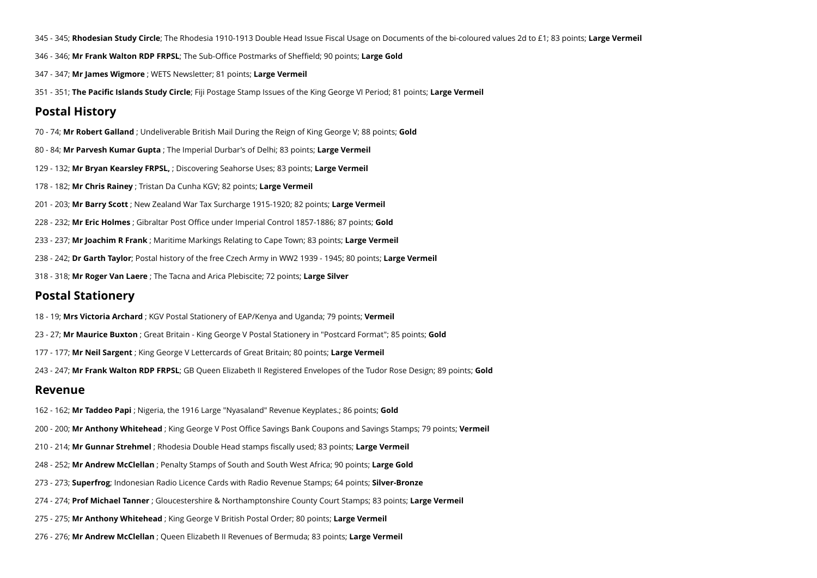- 345 345; **Rhodesian Study Circle**; The Rhodesia 1910-1913 Double Head Issue Fiscal Usage on Documents of the bi-coloured values 2d to £1; 83 points; **Large Vermeil**
- 346 346; **Mr Frank Walton RDP FRPSL**; The Sub-Office Postmarks of Sheffield; 90 points; **Large Gold**
- 347 347; **Mr James Wigmore** ; WETS Newsletter; 81 points; **Large Vermeil**
- 351 351; **The Pacific Islands Study Circle**; Fiji Postage Stamp Issues of the King George VI Period; 81 points; **Large Vermeil**

### **Postal History**

- 70 74; **Mr Robert Galland** ; Undeliverable British Mail During the Reign of King George V; 88 points; **Gold**
- 80 84; **Mr Parvesh Kumar Gupta** ; The Imperial Durbar's of Delhi; 83 points; **Large Vermeil**
- 129 132; **Mr Bryan Kearsley FRPSL,** ; Discovering Seahorse Uses; 83 points; **Large Vermeil**
- 178 182; **Mr Chris Rainey** ; Tristan Da Cunha KGV; 82 points; **Large Vermeil**
- 201 203; **Mr Barry Scott** ; New Zealand War Tax Surcharge 1915-1920; 82 points; **Large Vermeil**
- 228 232; **Mr Eric Holmes** ; Gibraltar Post Office under Imperial Control 1857-1886; 87 points; **Gold**
- 233 237; **Mr Joachim R Frank** ; Maritime Markings Relating to Cape Town; 83 points; **Large Vermeil**
- 238 242; **Dr Garth Taylor**; Postal history of the free Czech Army in WW2 1939 1945; 80 points; **Large Vermeil**
- 318 318; **Mr Roger Van Laere** ; The Tacna and Arica Plebiscite; 72 points; **Large Silver**

### **Postal Stationery**

- 18 19; **Mrs Victoria Archard** ; KGV Postal Stationery of EAP/Kenya and Uganda; 79 points; **Vermeil**
- 23 27; **Mr Maurice Buxton** ; Great Britain King George V Postal Stationery in "Postcard Format"; 85 points; **Gold**
- 177 177; **Mr Neil Sargent** ; King George V Lettercards of Great Britain; 80 points; **Large Vermeil**
- 243 247; **Mr Frank Walton RDP FRPSL**; GB Queen Elizabeth II Registered Envelopes of the Tudor Rose Design; 89 points; **Gold**

### **Revenue**

- 162 162; **Mr Taddeo Papi** ; Nigeria, the 1916 Large "Nyasaland" Revenue Keyplates.; 86 points; **Gold**
- 200 200; **Mr Anthony Whitehead** ; King George V Post Office Savings Bank Coupons and Savings Stamps; 79 points; **Vermeil**
- 210 214; **Mr Gunnar Strehmel** ; Rhodesia Double Head stamps fiscally used; 83 points; **Large Vermeil**
- 248 252; **Mr Andrew McClellan** ; Penalty Stamps of South and South West Africa; 90 points; **Large Gold**
- 273 273; **Superfrog**; Indonesian Radio Licence Cards with Radio Revenue Stamps; 64 points; **Silver-Bronze**
- 274 274; **Prof Michael Tanner** ; Gloucestershire & Northamptonshire County Court Stamps; 83 points; **Large Vermeil**
- 275 275; **Mr Anthony Whitehead** ; King George V British Postal Order; 80 points; **Large Vermeil**
- 276 276; **Mr Andrew McClellan** ; Queen Elizabeth II Revenues of Bermuda; 83 points; **Large Vermeil**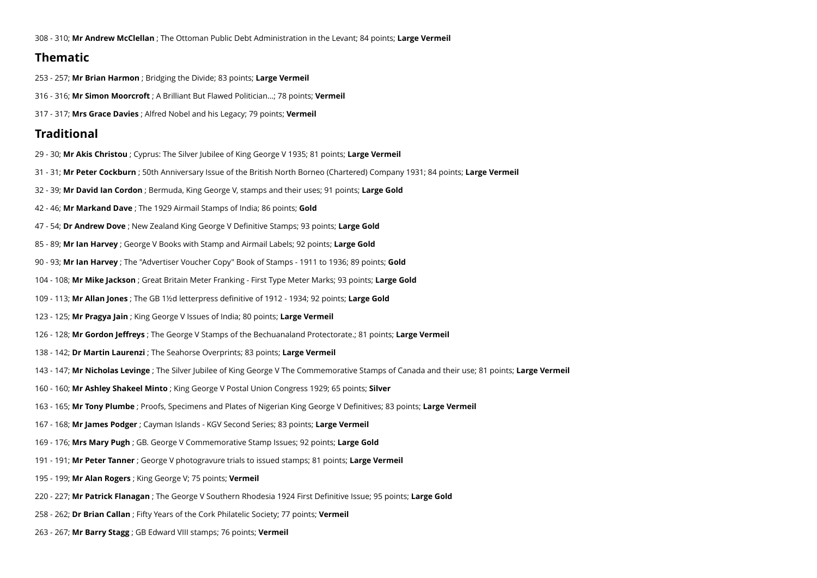308 - 310; **Mr Andrew McClellan** ; The Ottoman Public Debt Administration in the Levant; 84 points; **Large Vermeil**

## **Thematic**

- 253 257; **Mr Brian Harmon** ; Bridging the Divide; 83 points; **Large Vermeil**
- 316 316; **Mr Simon Moorcroft** ; A Brilliant But Flawed Politician...; 78 points; **Vermeil**
- 317 317; **Mrs Grace Davies** ; Alfred Nobel and his Legacy; 79 points; **Vermeil**

## **Traditional**

- 29 30; **Mr Akis Christou** ; Cyprus: The Silver Jubilee of King George V 1935; 81 points; **Large Vermeil**
- 31 31; **Mr Peter Cockburn** ; 50th Anniversary Issue of the British North Borneo (Chartered) Company 1931; 84 points; **Large Vermeil**
- 32 39; **Mr David Ian Cordon** ; Bermuda, King George V, stamps and their uses; 91 points; **Large Gold**
- 42 46; **Mr Markand Dave** ; The 1929 Airmail Stamps of India; 86 points; **Gold**
- 47 54; **Dr Andrew Dove** ; New Zealand King George V Definitive Stamps; 93 points; **Large Gold**
- 85 89; **Mr Ian Harvey** ; George V Books with Stamp and Airmail Labels; 92 points; **Large Gold**
- 90 93; **Mr Ian Harvey** ; The "Advertiser Voucher Copy" Book of Stamps 1911 to 1936; 89 points; **Gold**
- 104 108; **Mr Mike Jackson** ; Great Britain Meter Franking First Type Meter Marks; 93 points; **Large Gold**
- 109 113; **Mr Allan Jones** ; The GB 1½d letterpress definitive of 1912 1934; 92 points; **Large Gold**
- 123 125; **Mr Pragya Jain** ; King George V Issues of India; 80 points; **Large Vermeil**
- 126 128; **Mr Gordon Jeffreys** ; The George V Stamps of the Bechuanaland Protectorate.; 81 points; **Large Vermeil**
- 138 142; **Dr Martin Laurenzi** ; The Seahorse Overprints; 83 points; **Large Vermeil**
- 143 147; **Mr Nicholas Levinge** ; The Silver Jubilee of King George V The Commemorative Stamps of Canada and their use; 81 points; **Large Vermeil**
- 160 160; **Mr Ashley Shakeel Minto** ; King George V Postal Union Congress 1929; 65 points; **Silver**
- 163 165; **Mr Tony Plumbe** ; Proofs, Specimens and Plates of Nigerian King George V Definitives; 83 points; **Large Vermeil**
- 167 168; **Mr James Podger** ; Cayman Islands KGV Second Series; 83 points; **Large Vermeil**
- 169 176; **Mrs Mary Pugh** ; GB. George V Commemorative Stamp Issues; 92 points; **Large Gold**
- 191 191; **Mr Peter Tanner** ; George V photogravure trials to issued stamps; 81 points; **Large Vermeil**
- 195 199; **Mr Alan Rogers** ; King George V; 75 points; **Vermeil**
- 220 227; **Mr Patrick Flanagan** ; The George V Southern Rhodesia 1924 First Definitive Issue; 95 points; **Large Gold**
- 258 262; **Dr Brian Callan** ; Fifty Years of the Cork Philatelic Society; 77 points; **Vermeil**
- 263 267; **Mr Barry Stagg** ; GB Edward VIII stamps; 76 points; **Vermeil**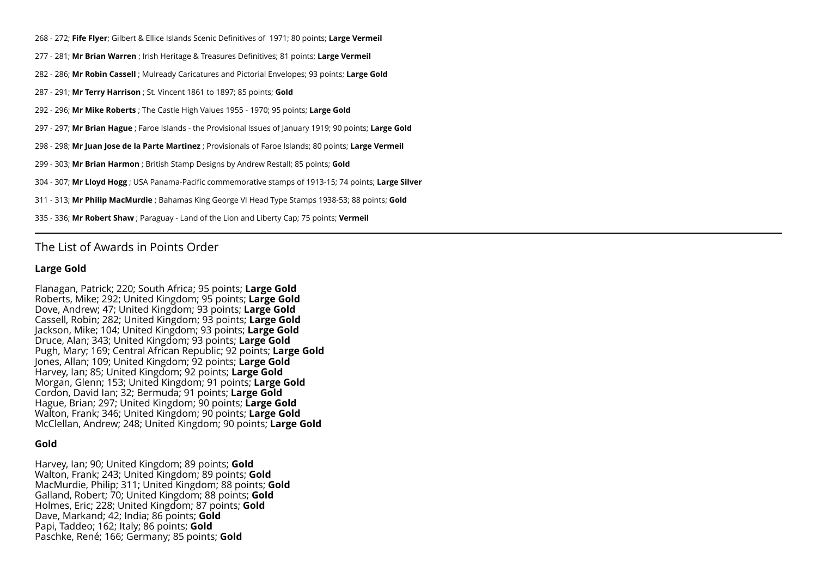268 - 272; **Fife Flyer**; Gilbert & Ellice Islands Scenic Definitives of 1971; 80 points; **Large Vermeil**

- 277 281; **Mr Brian Warren** ; Irish Heritage & Treasures Definitives; 81 points; **Large Vermeil**
- 282 286; **Mr Robin Cassell** ; Mulready Caricatures and Pictorial Envelopes; 93 points; **Large Gold**
- 287 291; **Mr Terry Harrison** ; St. Vincent 1861 to 1897; 85 points; **Gold**
- 292 296; **Mr Mike Roberts** ; The Castle High Values 1955 1970; 95 points; **Large Gold**
- 297 297; **Mr Brian Hague** ; Faroe Islands the Provisional Issues of January 1919; 90 points; **Large Gold**
- 298 298; **Mr Juan Jose de la Parte Martinez** ; Provisionals of Faroe Islands; 80 points; **Large Vermeil**
- 299 303; **Mr Brian Harmon** ; British Stamp Designs by Andrew Restall; 85 points; **Gold**
- 304 307; **Mr Lloyd Hogg** ; USA Panama-Pacific commemorative stamps of 1913-15; 74 points; **Large Silver**
- 311 313; **Mr Philip MacMurdie** ; Bahamas King George VI Head Type Stamps 1938-53; 88 points; **Gold**
- 335 336; **Mr Robert Shaw** ; Paraguay Land of the Lion and Liberty Cap; 75 points; **Vermeil**

### The List of Awards in Points Order

#### **Large Gold**

Flanagan, Patrick; 220; South Africa; 95 points; **Large Gold** Roberts, Mike; 292; United Kingdom; 95 points; **Large Gold** Dove, Andrew; 47; United Kingdom; 93 points; **Large Gold** Cassell, Robin; 282; United Kingdom; 93 points; **Large Gold** Jackson, Mike; 104; United Kingdom; 93 points; **Large Gold** Druce, Alan; 343; United Kingdom; 93 points; **Large Gold** Pugh, Mary; 169; Central African Republic; 92 points; **Large Gold** Jones, Allan; 109; United Kingdom; 92 points; Large Gold Harvey, Ian; 85; United Kingdom; 92 points; **Large Gold** Morgan, Glenn; 153; United Kingdom; 91 points; **Large Gold** Cordon, David Ian; 32; Bermuda; 91 points; **Large Gold** Hague, Brian; 297; United Kingdom; 90 points; **Large Gold** Walton, Frank; 346; United Kingdom; 90 points; **Large Gold** McClellan, Andrew; 248; United Kingdom; 90 points; **Large Gold**

#### **Gold**

Harvey, Ian; 90; United Kingdom; 89 points; **Gold** Walton, Frank; 243; United Kingdom; 89 points; **Gold** MacMurdie, Philip; 311; United Kingdom; 88 points; **Gold** Galland, Robert; 70; United Kingdom; 88 points; **Gold** Holmes, Eric; 228; United Kingdom; 87 points; **Gold** Dave, Markand; 42; India; 86 points; **Gold** Papi, Taddeo; 162; Italy; 86 points; **Gold** Paschke, René; 166; Germany; 85 points; **Gold**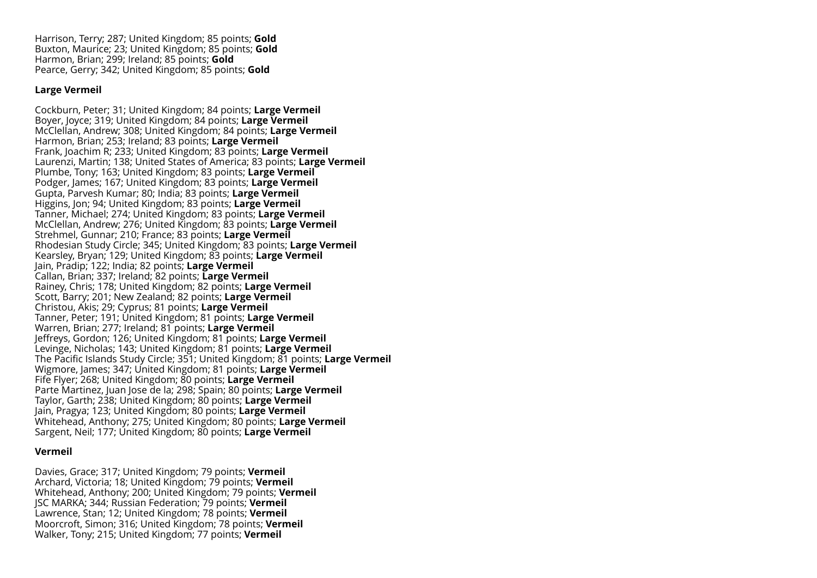Harrison, Terry; 287; United Kingdom; 85 points; **Gold** Buxton, Maurice; 23; United Kingdom; 85 points; **Gold** Harmon, Brian; 299; Ireland; 85 points; **Gold** Pearce, Gerry; 342; United Kingdom; 85 points; **Gold**

### **Large Vermeil**

Cockburn, Peter; 31; United Kingdom; 84 points; **Large Vermeil** Boyer, Joyce; 319; United Kingdom; 84 points; **Large Vermeil** McClellan, Andrew; 308; United Kingdom; 84 points; **Large Vermeil** Harmon, Brian; 253; Ireland; 83 points; **Large Vermeil** Frank, Joachim R; 233; United Kingdom; 83 points; **Large Vermeil** Laurenzi, Martin; 138; United States of America; 83 points; **Large Vermeil** Plumbe, Tony; 163; United Kingdom; 83 points; **Large Vermeil** Podger, James; 167; United Kingdom; 83 points; **Large Vermeil** Gupta, Parvesh Kumar; 80; India; 83 points; **Large Vermeil** Higgins, Jon; 94; United Kingdom; 83 points; **Large Vermeil** Tanner, Michael; 274; United Kingdom; 83 points; **Large Vermeil** McClellan, Andrew; 276; United Kingdom; 83 points; **Large Vermeil** Strehmel, Gunnar; 210; France; 83 points; **Large Vermeil** Rhodesian Study Circle; 345; United Kingdom; 83 points; **Large Vermeil** Kearsley, Bryan; 129; United Kingdom; 83 points; **Large Vermeil** Jain, Pradip; 122; India; 82 points; **Large Vermeil** Callan, Brian; 337; Ireland; 82 points; **Large Vermeil** Rainey, Chris; 178; United Kingdom; 82 points; **Large Vermeil** Scott, Barry; 201; New Zealand; 82 points; **Large Vermeil** Christou, Akis; 29; Cyprus; 81 points; **Large Vermeil** Tanner, Peter; 191; United Kingdom; 81 points; **Large Vermeil** Warren, Brian; 277; Ireland; 81 points; **Large Vermeil** Jeffreys, Gordon; 126; United Kingdom; 81 points; **Large Vermeil** Levinge, Nicholas; 143; United Kingdom; 81 points; **Large Vermeil** The Pacific Islands Study Circle; 351; United Kingdom; 81 points; **Large Vermeil** Wigmore, James; 347; United Kingdom; 81 points; **Large Vermeil** Fife Flyer; 268; United Kingdom; 80 points; **Large Vermeil** Parte Martinez, Juan Jose de la; 298; Spain; 80 points; **Large Vermeil** Taylor, Garth; 238; United Kingdom; 80 points; **Large Vermeil** Jain, Pragya; 123; United Kingdom; 80 points; **Large Vermeil** Whitehead, Anthony; 275; United Kingdom; 80 points; **Large Vermeil** Sargent, Neil; 177; United Kingdom; 80 points; **Large Vermeil**

#### **Vermeil**

Davies, Grace; 317; United Kingdom; 79 points; **Vermeil** Archard, Victoria; 18; United Kingdom; 79 points; **Vermeil** Whitehead, Anthony; 200; United Kingdom; 79 points; **Vermeil** JSC MARKA; 344; Russian Federation; 79 points; **Vermeil** Lawrence, Stan; 12; United Kingdom; 78 points; **Vermeil** Moorcroft, Simon; 316; United Kingdom; 78 points; **Vermeil** Walker, Tony; 215; United Kingdom; 77 points; **Vermeil**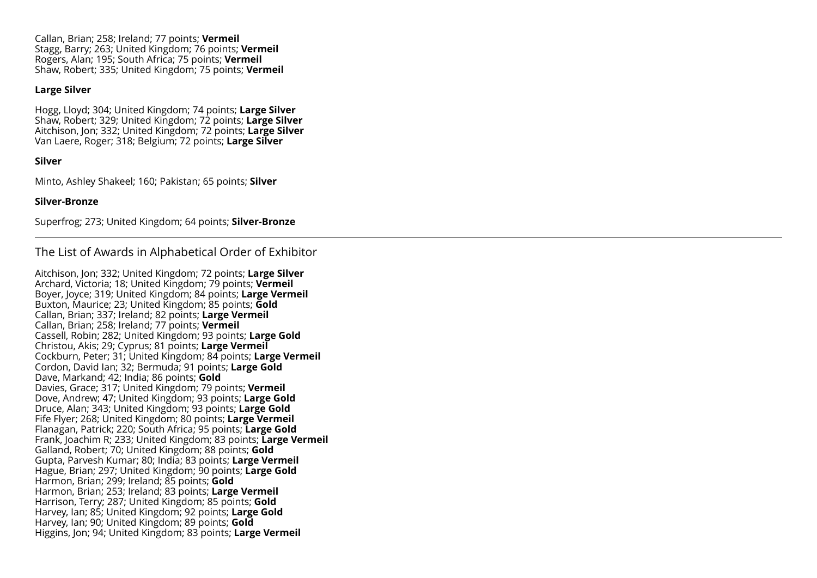Callan, Brian; 258; Ireland; 77 points; **Vermeil** Stagg, Barry; 263; United Kingdom; 76 points; **Vermeil** Rogers, Alan; 195; South Africa; 75 points; **Vermeil** Shaw, Robert; 335; United Kingdom; 75 points; **Vermeil**

### **Large Silver**

Hogg, Lloyd; 304; United Kingdom; 74 points; **Large Silver** Shaw, Robert; 329; United Kingdom; 72 points; **Large Silver** Aitchison, Jon; 332; United Kingdom; 72 points; **Large Silver** Van Laere, Roger; 318; Belgium; 72 points; **Large Silver**

#### **Silver**

Minto, Ashley Shakeel; 160; Pakistan; 65 points; **Silver**

#### **Silver-Bronze**

Superfrog; 273; United Kingdom; 64 points; **Silver-Bronze**

## The List of Awards in Alphabetical Order of Exhibitor

Aitchison, Jon; 332; United Kingdom; 72 points; **Large Silver** Archard, Victoria; 18; United Kingdom; 79 points; **Vermeil** Boyer, Joyce; 319; United Kingdom; 84 points; **Large Vermeil** Buxton, Maurice; 23; United Kingdom; 85 points; **Gold** Callan, Brian; 337; Ireland; 82 points; **Large Vermeil** Callan, Brian; 258; Ireland; 77 points; **Vermeil** Cassell, Robin; 282; United Kingdom; 93 points; **Large Gold** Christou, Akis; 29; Cyprus; 81 points; **Large Vermeil** Cockburn, Peter; 31; United Kingdom; 84 points; **Large Vermeil** Cordon, David Ian; 32; Bermuda; 91 points; **Large Gold** Dave, Markand; 42; India; 86 points; **Gold** Davies, Grace; 317; United Kingdom; 79 points; **Vermeil** Dove, Andrew; 47; United Kingdom; 93 points; **Large Gold** Druce, Alan; 343; United Kingdom; 93 points; **Large Gold** Fife Flyer; 268; United Kingdom; 80 points; **Large Vermeil** Flanagan, Patrick; 220; South Africa; 95 points; **Large Gold** Frank, Joachim R; 233; United Kingdom; 83 points; **Large Vermeil** Galland, Robert; 70; United Kingdom; 88 points; **Gold** Gupta, Parvesh Kumar; 80; India; 83 points; **Large Vermeil** Hague, Brian; 297; United Kingdom; 90 points; **Large Gold** Harmon, Brian; 299; Ireland; 85 points; **Gold** Harmon, Brian; 253; Ireland; 83 points; **Large Vermeil** Harrison, Terry; 287; United Kingdom; 85 points; **Gold** Harvey, Ian; 85; United Kingdom; 92 points; **Large Gold** Harvey, Ian; 90; United Kingdom; 89 points; **Gold** Higgins, Jon; 94; United Kingdom; 83 points; **Large Vermeil**